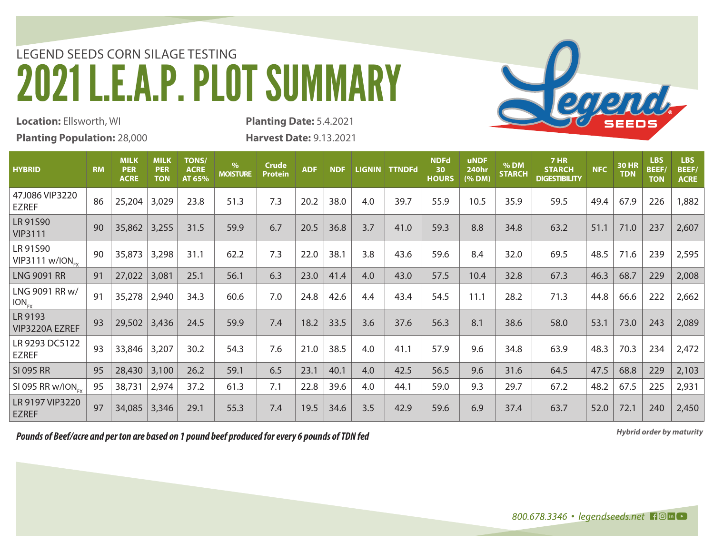## LEGEND SEEDS CORN SILAGE TESTING 2021 L.E.A.P. PLOT SUMMARY



**Location:** Ellsworth, WI **Planting Population:** 28,000 **Planting Date:** 5.4.2021 **Harvest Date:** 9.13.2021

| <b>HYBRID</b>                             | <b>RM</b> | <b>MILK</b><br><b>PER</b><br><b>ACRE</b> | <b>MILK</b><br><b>PER</b><br><b>TON</b> | <b>TONS/</b><br><b>ACRE</b><br>AT 65% | %<br><b>MOISTURE</b> | <b>Crude</b><br><b>Protein</b> | <b>ADF</b> | <b>NDF</b> | <b>LIGNIN</b> | <b>TTNDFd</b> | <b>NDFd</b><br>30<br><b>HOURS</b> | <b>uNDF</b><br><b>240hr</b><br>(% DM) | % DM<br><b>STARCH</b> | <b>7 HR</b><br><b>STARCH</b><br><b>DIGESTIBILITY</b> | <b>NFC</b> | <b>30 HR</b><br><b>TDN</b> | <b>LBS</b><br>BEEF/<br><b>TON</b> | <b>LBS</b><br><b>BEEF/</b><br><b>ACRE</b> |
|-------------------------------------------|-----------|------------------------------------------|-----------------------------------------|---------------------------------------|----------------------|--------------------------------|------------|------------|---------------|---------------|-----------------------------------|---------------------------------------|-----------------------|------------------------------------------------------|------------|----------------------------|-----------------------------------|-------------------------------------------|
| 47J086 VIP3220<br>EZREF                   | 86        | 25,204                                   | 3,029                                   | 23.8                                  | 51.3                 | 7.3                            | 20.2       | 38.0       | 4.0           | 39.7          | 55.9                              | 10.5                                  | 35.9                  | 59.5                                                 | 49.4       | 67.9                       | 226                               | 1,882                                     |
| LR 91S90<br><b>VIP3111</b>                | 90        | 35,862                                   | 3,255                                   | 31.5                                  | 59.9                 | 6.7                            | 20.5       | 36.8       | 3.7           | 41.0          | 59.3                              | 8.8                                   | 34.8                  | 63.2                                                 | 51.1       | 71.0                       | 237                               | 2,607                                     |
| LR 91S90<br>$VIP3111$ w/ION <sub>EV</sub> | 90        | 35,873                                   | 3,298                                   | 31.1                                  | 62.2                 | 7.3                            | 22.0       | 38.1       | 3.8           | 43.6          | 59.6                              | 8.4                                   | 32.0                  | 69.5                                                 | 48.5       | 71.6                       | 239                               | 2,595                                     |
| <b>LNG 9091 RR</b>                        | 91        | 27,022                                   | 3,081                                   | 25.1                                  | 56.1                 | 6.3                            | 23.0       | 41.4       | 4.0           | 43.0          | 57.5                              | 10.4                                  | 32.8                  | 67.3                                                 | 46.3       | 68.7                       | 229                               | 2,008                                     |
| LNG 9091 RR w/<br>$ION_{FX}$              | 91        | 35,278                                   | 2,940                                   | 34.3                                  | 60.6                 | 7.0                            | 24.8       | 42.6       | 4.4           | 43.4          | 54.5                              | 11.1                                  | 28.2                  | 71.3                                                 | 44.8       | 66.6                       | 222                               | 2,662                                     |
| LR 9193<br>VIP3220A EZREF                 | 93        | 29,502                                   | 3,436                                   | 24.5                                  | 59.9                 | 7.4                            | 18.2       | 33.5       | 3.6           | 37.6          | 56.3                              | 8.1                                   | 38.6                  | 58.0                                                 | 53.1       | 73.0                       | 243                               | 2,089                                     |
| LR 9293 DC5122<br>EZREF                   | 93        | 33,846                                   | 3,207                                   | 30.2                                  | 54.3                 | 7.6                            | 21.0       | 38.5       | 4.0           | 41.1          | 57.9                              | 9.6                                   | 34.8                  | 63.9                                                 | 48.3       | 70.3                       | 234                               | 2,472                                     |
| <b>SI 095 RR</b>                          | 95        | 28,430                                   | 3,100                                   | 26.2                                  | 59.1                 | 6.5                            | 23.1       | 40.1       | 4.0           | 42.5          | 56.5                              | 9.6                                   | 31.6                  | 64.5                                                 | 47.5       | 68.8                       | 229                               | 2,103                                     |
| SI 095 RR w/ION <sub>EV</sub>             | 95        | 38,731                                   | 2,974                                   | 37.2                                  | 61.3                 | 7.1                            | 22.8       | 39.6       | 4.0           | 44.1          | 59.0                              | 9.3                                   | 29.7                  | 67.2                                                 | 48.2       | 67.5                       | 225                               | 2,931                                     |
| LR 9197 VIP3220<br><b>EZREF</b>           | 97        | 34,085                                   | 3,346                                   | 29.1                                  | 55.3                 | 7.4                            | 19.5       | 34.6       | 3.5           | 42.9          | 59.6                              | 6.9                                   | 37.4                  | 63.7                                                 | 52.0       | 72.1                       | 240                               | 2,450                                     |

*Hybrid order by maturity Pounds of Beef/acre and per ton are based on 1 pound beef produced for every 6 pounds of TDN fed*